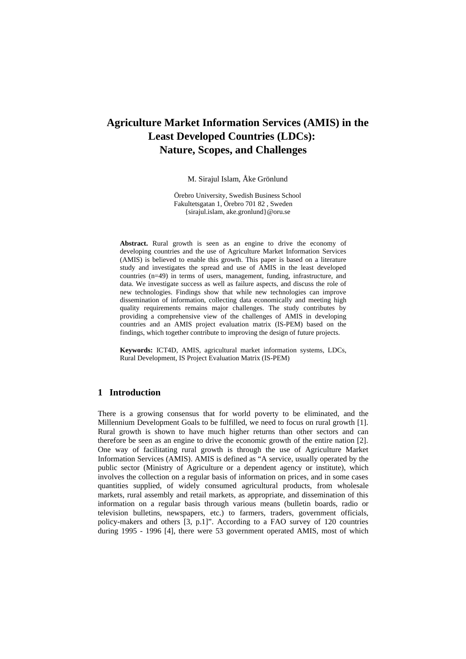# **Agriculture Market Information Services (AMIS) in the Least Developed Countries (LDCs): Nature, Scopes, and Challenges**

M. Sirajul Islam, Åke Grönlund

Örebro University, Swedish Business School Fakultetsgatan 1, Örebro 701 82 , Sweden {sirajul.islam, ake.gronlund}@oru.se

Abstract. Rural growth is seen as an engine to drive the economy of developing countries and the use of Agriculture Market Information Services (AMIS) is believed to enable this growth. This paper is based on a literature study and investigates the spread and use of AMIS in the least developed countries (n=49) in terms of users, management, funding, infrastructure, and data. We investigate success as well as failure aspects, and discuss the role of new technologies. Findings show that while new technologies can improve dissemination of information, collecting data economically and meeting high quality requirements remains major challenges. The study contributes by providing a comprehensive view of the challenges of AMIS in developing countries and an AMIS project evaluation matrix (IS-PEM) based on the findings, which together contribute to improving the design of future projects.

**Keywords:** ICT4D, AMIS, agricultural market information systems, LDCs, Rural Development, IS Project Evaluation Matrix (IS-PEM)

### **1 Introduction**

There is a growing consensus that for world poverty to be eliminated, and the Millennium Development Goals to be fulfilled, we need to focus on rural growth [1]. Rural growth is shown to have much higher returns than other sectors and can therefore be seen as an engine to drive the economic growth of the entire nation [2]. One way of facilitating rural growth is through the use of Agriculture Market Information Services (AMIS). AMIS is defined as "A service, usually operated by the public sector (Ministry of Agriculture or a dependent agency or institute), which involves the collection on a regular basis of information on prices, and in some cases quantities supplied, of widely consumed agricultural products, from wholesale markets, rural assembly and retail markets, as appropriate, and dissemination of this information on a regular basis through various means (bulletin boards, radio or television bulletins, newspapers, etc.) to farmers, traders, government officials, policy-makers and others [3, p.1]". According to a FAO survey of 120 countries during 1995 - 1996 [4], there were 53 government operated AMIS, most of which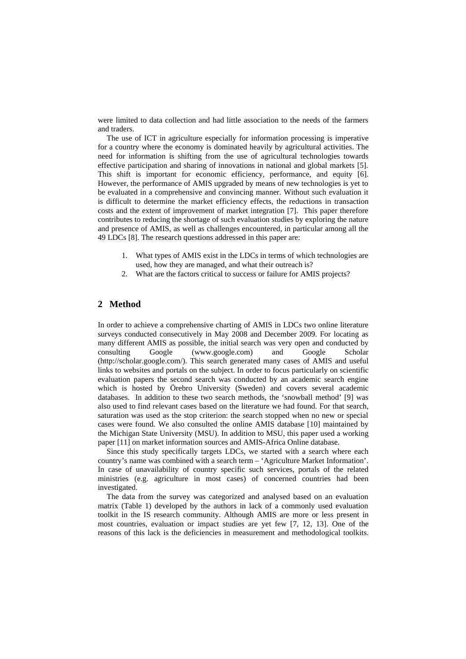were limited to data collection and had little association to the needs of the farmers and traders.

The use of ICT in agriculture especially for information processing is imperative for a country where the economy is dominated heavily by agricultural activities. The need for information is shifting from the use of agricultural technologies towards effective participation and sharing of innovations in national and global markets [5]. This shift is important for economic efficiency, performance, and equity [6]. However, the performance of AMIS upgraded by means of new technologies is yet to be evaluated in a comprehensive and convincing manner. Without such evaluation it is difficult to determine the market efficiency effects, the reductions in transaction costs and the extent of improvement of market integration [7]. This paper therefore contributes to reducing the shortage of such evaluation studies by exploring the nature and presence of AMIS, as well as challenges encountered, in particular among all the 49 LDCs [8]. The research questions addressed in this paper are:

- 1. What types of AMIS exist in the LDCs in terms of which technologies are used, how they are managed, and what their outreach is?
- 2. What are the factors critical to success or failure for AMIS projects?

## **2 Method**

In order to achieve a comprehensive charting of AMIS in LDCs two online literature surveys conducted consecutively in May 2008 and December 2009. For locating as many different AMIS as possible, the initial search was very open and conducted by consulting Google (www.google.com) and Google Scholar (http://scholar.google.com/). This search generated many cases of AMIS and useful links to websites and portals on the subject. In order to focus particularly on scientific evaluation papers the second search was conducted by an academic search engine which is hosted by Örebro University (Sweden) and covers several academic databases. In addition to these two search methods, the 'snowball method' [9] was also used to find relevant cases based on the literature we had found. For that search, saturation was used as the stop criterion: the search stopped when no new or special cases were found. We also consulted the online AMIS database [10] maintained by the Michigan State University (MSU). In addition to MSU, this paper used a working paper [11] on market information sources and AMIS-Africa Online database.

Since this study specifically targets LDCs, we started with a search where each country's name was combined with a search term – 'Agriculture Market Information'. In case of unavailability of country specific such services, portals of the related ministries (e.g. agriculture in most cases) of concerned countries had been investigated.

The data from the survey was categorized and analysed based on an evaluation matrix (Table 1) developed by the authors in lack of a commonly used evaluation toolkit in the IS research community. Although AMIS are more or less present in most countries, evaluation or impact studies are yet few [7, 12, 13]. One of the reasons of this lack is the deficiencies in measurement and methodological toolkits.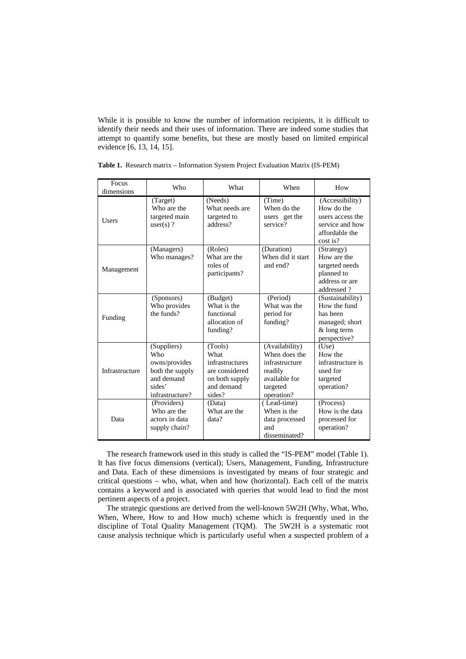While it is possible to know the number of information recipients, it is difficult to identify their needs and their uses of information. There are indeed some studies that attempt to quantify some benefits, but these are mostly based on limited empirical evidence [6, 13, 14, 15].

| Focus<br>dimensions | Who                                                                                               | What                                                                                           | When                                                                                                    | How                                                                                                  |
|---------------------|---------------------------------------------------------------------------------------------------|------------------------------------------------------------------------------------------------|---------------------------------------------------------------------------------------------------------|------------------------------------------------------------------------------------------------------|
| <b>Users</b>        | (Target)<br>Who are the<br>targeted main<br>user $(s)$ ?                                          | (Needs)<br>What needs are<br>targeted to<br>address?                                           | (Time)<br>When do the<br>users get the<br>service?                                                      | (Accessibility)<br>How do the<br>users access the<br>service and how<br>affordable the<br>$cost$ is? |
| Management          | (Managers)<br>Who manages?                                                                        | (Roles)<br>What are the<br>roles of<br>participants?                                           | (Duration)<br>When did it start<br>and end?                                                             | (Strategy)<br>How are the<br>targeted needs<br>planned to<br>address or are<br>addressed?            |
| Funding             | (Sponsors)<br>Who provides<br>the funds?                                                          | (Budget)<br>What is the<br>functional<br>allocation of<br>funding?                             | (Period)<br>What was the<br>period for<br>funding?                                                      | (Sustainability)<br>How the fund<br>has been<br>managed; short<br>& long term<br>perspective?        |
| Infrastructure      | (Suppliers)<br>Who<br>owns/provides<br>both the supply<br>and demand<br>sides'<br>infrastructure? | (Tools)<br>What<br>infrastructures<br>are considered<br>on both supply<br>and demand<br>sides? | (Availability)<br>When does the<br>infrastructure<br>readily<br>available for<br>targeted<br>operation? | (Use)<br>How the<br>infrastructure is<br>used for<br>targeted<br>operation?                          |
| Data                | (Providers)<br>Who are the<br>actors in data<br>supply chain?                                     | (Data)<br>What are the<br>data?                                                                | (Lead-time)<br>When is the<br>data processed<br>and<br>disseminated?                                    | (Process)<br>How is the data<br>processed for<br>operation?                                          |

|  |  |  | <b>Table 1.</b> Research matrix – Information System Project Evaluation Matrix (IS-PEM) |  |  |  |  |  |
|--|--|--|-----------------------------------------------------------------------------------------|--|--|--|--|--|
|--|--|--|-----------------------------------------------------------------------------------------|--|--|--|--|--|

The research framework used in this study is called the "IS-PEM" model (Table 1). It has five focus dimensions (vertical); Users, Management, Funding, Infrastructure and Data. Each of these dimensions is investigated by means of four strategic and critical questions – who, what, when and how (horizontal). Each cell of the matrix contains a keyword and is associated with queries that would lead to find the most pertinent aspects of a project.

The strategic questions are derived from the well-known 5W2H (Why, What, Who, When, Where, How to and How much) scheme which is frequently used in the discipline of Total Quality Management (TQM). The 5W2H is a systematic root cause analysis technique which is particularly useful when a suspected problem of a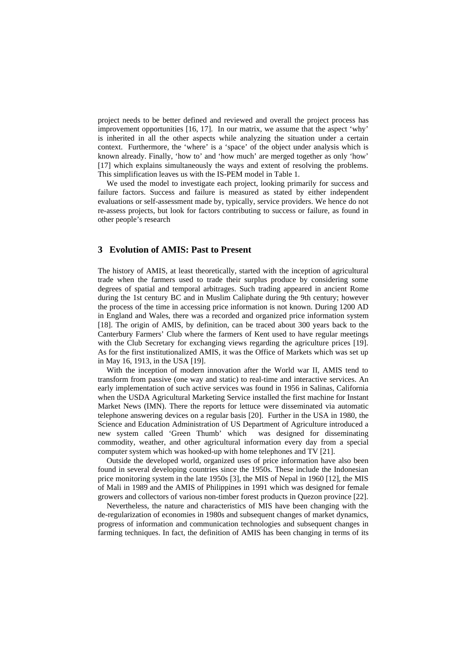project needs to be better defined and reviewed and overall the project process has improvement opportunities [16, 17]. In our matrix, we assume that the aspect 'why' is inherited in all the other aspects while analyzing the situation under a certain context. Furthermore, the 'where' is a 'space' of the object under analysis which is known already. Finally, 'how to' and 'how much' are merged together as only 'how' [17] which explains simultaneously the ways and extent of resolving the problems. This simplification leaves us with the IS-PEM model in Table 1.

We used the model to investigate each project, looking primarily for success and failure factors. Success and failure is measured as stated by either independent evaluations or self-assessment made by, typically, service providers. We hence do not re-assess projects, but look for factors contributing to success or failure, as found in other people's research

### **3 Evolution of AMIS: Past to Present**

The history of AMIS, at least theoretically, started with the inception of agricultural trade when the farmers used to trade their surplus produce by considering some degrees of spatial and temporal arbitrages. Such trading appeared in ancient Rome during the 1st century BC and in Muslim Caliphate during the 9th century; however the process of the time in accessing price information is not known. During 1200 AD in England and Wales, there was a recorded and organized price information system [18]. The origin of AMIS, by definition, can be traced about 300 years back to the Canterbury Farmers' Club where the farmers of Kent used to have regular meetings with the Club Secretary for exchanging views regarding the agriculture prices [19]. As for the first institutionalized AMIS, it was the Office of Markets which was set up in May 16, 1913, in the USA [19].

With the inception of modern innovation after the World war II, AMIS tend to transform from passive (one way and static) to real-time and interactive services. An early implementation of such active services was found in 1956 in Salinas, California when the USDA Agricultural Marketing Service installed the first machine for Instant Market News (IMN). There the reports for lettuce were disseminated via automatic telephone answering devices on a regular basis [20]. Further in the USA in 1980, the Science and Education Administration of US Department of Agriculture introduced a new system called 'Green Thumb' which was designed for disseminating commodity, weather, and other agricultural information every day from a special computer system which was hooked-up with home telephones and TV [21].

Outside the developed world, organized uses of price information have also been found in several developing countries since the 1950s. These include the Indonesian price monitoring system in the late 1950s [3], the MIS of Nepal in 1960 [12], the MIS of Mali in 1989 and the AMIS of Philippines in 1991 which was designed for female growers and collectors of various non-timber forest products in Quezon province [22].

Nevertheless, the nature and characteristics of MIS have been changing with the de-regularization of economies in 1980s and subsequent changes of market dynamics, progress of information and communication technologies and subsequent changes in farming techniques. In fact, the definition of AMIS has been changing in terms of its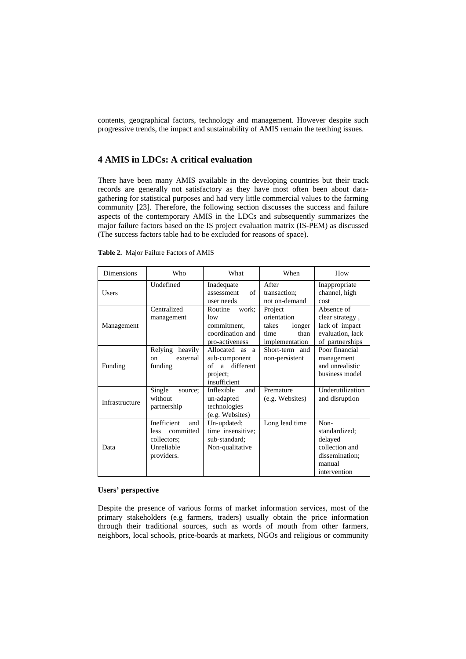contents, geographical factors, technology and management. However despite such progressive trends, the impact and sustainability of AMIS remain the teething issues.

# **4 AMIS in LDCs: A critical evaluation**

There have been many AMIS available in the developing countries but their track records are generally not satisfactory as they have most often been about datagathering for statistical purposes and had very little commercial values to the farming community [23]. Therefore, the following section discusses the success and failure aspects of the contemporary AMIS in the LDCs and subsequently summarizes the major failure factors based on the IS project evaluation matrix (IS-PEM) as discussed (The success factors table had to be excluded for reasons of space).

| <b>Dimensions</b> | Who                                                                                       | What                                                                                              | When                                                                        | How                                                                                            |
|-------------------|-------------------------------------------------------------------------------------------|---------------------------------------------------------------------------------------------------|-----------------------------------------------------------------------------|------------------------------------------------------------------------------------------------|
| <b>Users</b>      | Undefined                                                                                 | Inadequate<br>of<br>assessment<br>user needs                                                      | After<br>transaction;<br>not on-demand                                      | Inappropriate<br>channel, high<br>cost                                                         |
| Management        | Centralized<br>management                                                                 | Routine<br>work:<br>low<br>commitment.<br>coordination and<br>pro-activeness                      | Project<br>orientation<br>takes<br>longer<br>than<br>time<br>implementation | Absence of<br>clear strategy,<br>lack of impact<br>evaluation, lack<br>of partnerships         |
| Funding           | Relying<br>heavily<br>external<br><sub>on</sub><br>funding                                | Allocated as<br><sub>a</sub><br>sub-component<br>different<br>of<br>a<br>project;<br>insufficient | Short-term and<br>non-persistent                                            | Poor financial<br>management<br>and unrealistic<br>business model                              |
| Infrastructure    | Single<br>source;<br>without<br>partnership                                               | Inflexible<br>and<br>un-adapted<br>technologies<br>(e.g. Websites)                                | Premature<br>(e.g. Websites)                                                | Underutilization<br>and disruption                                                             |
| Data              | Inefficient<br>and<br>committed<br><i>less</i><br>collectors:<br>Unreliable<br>providers. | Un-updated;<br>time insensitive;<br>sub-standard;<br>Non-qualitative                              | Long lead time                                                              | Non-<br>standardized:<br>delayed<br>collection and<br>dissemination:<br>manual<br>intervention |

**Table 2.** Major Failure Factors of AMIS

#### **Users' perspective**

Despite the presence of various forms of market information services, most of the primary stakeholders (e.g farmers, traders) usually obtain the price information through their traditional sources, such as words of mouth from other farmers, neighbors, local schools, price-boards at markets, NGOs and religious or community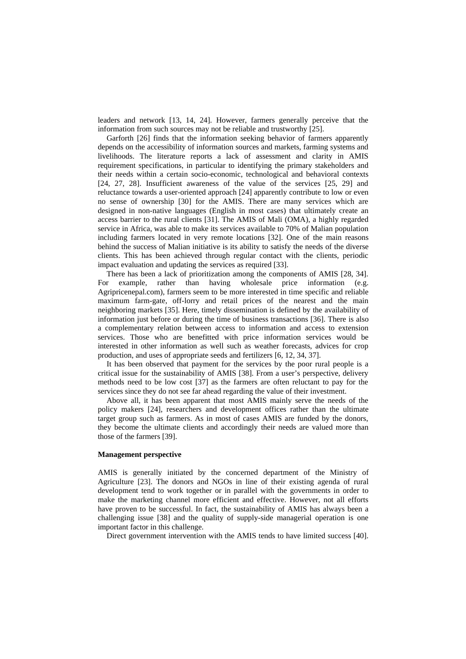leaders and network [13, 14, 24]. However, farmers generally perceive that the information from such sources may not be reliable and trustworthy [25].

Garforth [26] finds that the information seeking behavior of farmers apparently depends on the accessibility of information sources and markets, farming systems and livelihoods. The literature reports a lack of assessment and clarity in AMIS requirement specifications, in particular to identifying the primary stakeholders and their needs within a certain socio-economic, technological and behavioral contexts [24, 27, 28]. Insufficient awareness of the value of the services [25, 29] and reluctance towards a user-oriented approach [24] apparently contribute to low or even no sense of ownership [30] for the AMIS. There are many services which are designed in non-native languages (English in most cases) that ultimately create an access barrier to the rural clients [31]. The AMIS of Mali (OMA), a highly regarded service in Africa, was able to make its services available to 70% of Malian population including farmers located in very remote locations [32]. One of the main reasons behind the success of Malian initiative is its ability to satisfy the needs of the diverse clients. This has been achieved through regular contact with the clients, periodic impact evaluation and updating the services as required [33].

There has been a lack of prioritization among the components of AMIS [28, 34]. For example, rather than having wholesale price information Agripricenepal.com), farmers seem to be more interested in time specific and reliable maximum farm-gate, off-lorry and retail prices of the nearest and the main neighboring markets [35]. Here, timely dissemination is defined by the availability of information just before or during the time of business transactions [36]. There is also a complementary relation between access to information and access to extension services. Those who are benefitted with price information services would be interested in other information as well such as weather forecasts, advices for crop production, and uses of appropriate seeds and fertilizers [6, 12, 34, 37].

It has been observed that payment for the services by the poor rural people is a critical issue for the sustainability of AMIS [38]. From a user's perspective, delivery methods need to be low cost [37] as the farmers are often reluctant to pay for the services since they do not see far ahead regarding the value of their investment.

Above all, it has been apparent that most AMIS mainly serve the needs of the policy makers [24], researchers and development offices rather than the ultimate target group such as farmers. As in most of cases AMIS are funded by the donors, they become the ultimate clients and accordingly their needs are valued more than those of the farmers [39].

#### **Management perspective**

AMIS is generally initiated by the concerned department of the Ministry of Agriculture [23]. The donors and NGOs in line of their existing agenda of rural development tend to work together or in parallel with the governments in order to make the marketing channel more efficient and effective. However, not all efforts have proven to be successful. In fact, the sustainability of AMIS has always been a challenging issue [38] and the quality of supply-side managerial operation is one important factor in this challenge.

Direct government intervention with the AMIS tends to have limited success [40].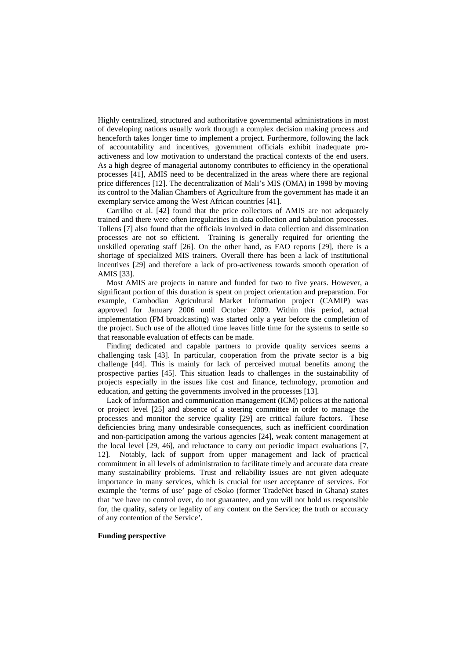Highly centralized, structured and authoritative governmental administrations in most of developing nations usually work through a complex decision making process and henceforth takes longer time to implement a project. Furthermore, following the lack of accountability and incentives, government officials exhibit inadequate proactiveness and low motivation to understand the practical contexts of the end users. As a high degree of managerial autonomy contributes to efficiency in the operational processes [41], AMIS need to be decentralized in the areas where there are regional price differences [12]. The decentralization of Mali's MIS (OMA) in 1998 by moving its control to the Malian Chambers of Agriculture from the government has made it an exemplary service among the West African countries [41].

Carrilho et al. [42] found that the price collectors of AMIS are not adequately trained and there were often irregularities in data collection and tabulation processes. Tollens [7] also found that the officials involved in data collection and dissemination processes are not so efficient. Training is generally required for orienting the unskilled operating staff [26]. On the other hand, as FAO reports [29], there is a shortage of specialized MIS trainers. Overall there has been a lack of institutional incentives [29] and therefore a lack of pro-activeness towards smooth operation of AMIS [33].

Most AMIS are projects in nature and funded for two to five years. However, a significant portion of this duration is spent on project orientation and preparation. For example, Cambodian Agricultural Market Information project (CAMIP) was approved for January 2006 until October 2009. Within this period, actual implementation (FM broadcasting) was started only a year before the completion of the project. Such use of the allotted time leaves little time for the systems to settle so that reasonable evaluation of effects can be made.

Finding dedicated and capable partners to provide quality services seems a challenging task [43]. In particular, cooperation from the private sector is a big challenge [44]. This is mainly for lack of perceived mutual benefits among the prospective parties [45]. This situation leads to challenges in the sustainability of projects especially in the issues like cost and finance, technology, promotion and education, and getting the governments involved in the processes [13].

Lack of information and communication management (ICM) polices at the national or project level [25] and absence of a steering committee in order to manage the processes and monitor the service quality [29] are critical failure factors. These deficiencies bring many undesirable consequences, such as inefficient coordination and non-participation among the various agencies [24], weak content management at the local level [29, 46], and reluctance to carry out periodic impact evaluations [7, 12]. Notably, lack of support from upper management and lack of practical commitment in all levels of administration to facilitate timely and accurate data create many sustainability problems. Trust and reliability issues are not given adequate importance in many services, which is crucial for user acceptance of services. For example the 'terms of use' page of eSoko (former TradeNet based in Ghana) states that 'we have no control over, do not guarantee, and you will not hold us responsible for, the quality, safety or legality of any content on the Service; the truth or accuracy of any contention of the Service'.

#### **Funding perspective**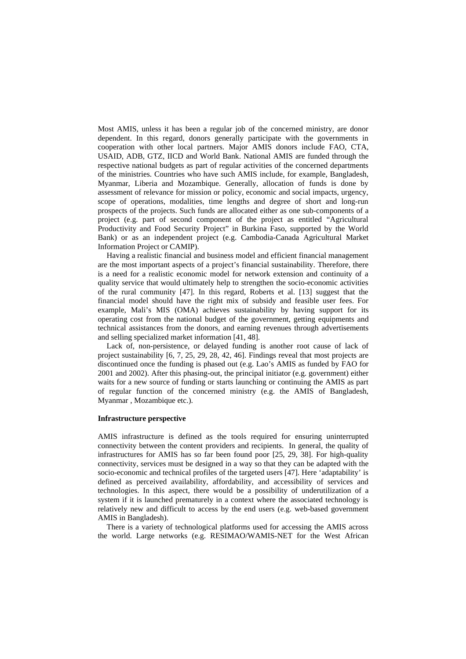Most AMIS, unless it has been a regular job of the concerned ministry, are donor dependent. In this regard, donors generally participate with the governments in cooperation with other local partners. Major AMIS donors include FAO, CTA, USAID, ADB, GTZ, IICD and World Bank. National AMIS are funded through the respective national budgets as part of regular activities of the concerned departments of the ministries. Countries who have such AMIS include, for example, Bangladesh, Myanmar, Liberia and Mozambique. Generally, allocation of funds is done by assessment of relevance for mission or policy, economic and social impacts, urgency, scope of operations, modalities, time lengths and degree of short and long-run prospects of the projects. Such funds are allocated either as one sub-components of a project (e.g. part of second component of the project as entitled "Agricultural Productivity and Food Security Project" in Burkina Faso, supported by the World Bank) or as an independent project (e.g. Cambodia-Canada Agricultural Market Information Project or CAMIP).

Having a realistic financial and business model and efficient financial management are the most important aspects of a project's financial sustainability. Therefore, there is a need for a realistic economic model for network extension and continuity of a quality service that would ultimately help to strengthen the socio-economic activities of the rural community [47]. In this regard, Roberts et al. [13] suggest that the financial model should have the right mix of subsidy and feasible user fees. For example, Mali's MIS (OMA) achieves sustainability by having support for its operating cost from the national budget of the government, getting equipments and technical assistances from the donors, and earning revenues through advertisements and selling specialized market information [41, 48].

Lack of, non-persistence, or delayed funding is another root cause of lack of project sustainability [6, 7, 25, 29, 28, 42, 46]. Findings reveal that most projects are discontinued once the funding is phased out (e.g. Lao's AMIS as funded by FAO for 2001 and 2002). After this phasing-out, the principal initiator (e.g. government) either waits for a new source of funding or starts launching or continuing the AMIS as part of regular function of the concerned ministry (e.g. the AMIS of Bangladesh, Myanmar , Mozambique etc.).

#### **Infrastructure perspective**

AMIS infrastructure is defined as the tools required for ensuring uninterrupted connectivity between the content providers and recipients. In general, the quality of infrastructures for AMIS has so far been found poor [25, 29, 38]. For high-quality connectivity, services must be designed in a way so that they can be adapted with the socio-economic and technical profiles of the targeted users [47]. Here 'adaptability' is defined as perceived availability, affordability, and accessibility of services and technologies. In this aspect, there would be a possibility of underutilization of a system if it is launched prematurely in a context where the associated technology is relatively new and difficult to access by the end users (e.g. web-based government AMIS in Bangladesh).

There is a variety of technological platforms used for accessing the AMIS across the world. Large networks (e.g. RESIMAO/WAMIS-NET for the West African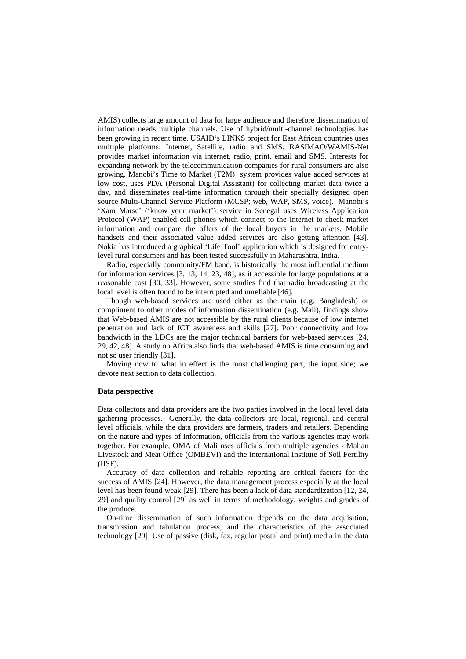AMIS) collects large amount of data for large audience and therefore dissemination of information needs multiple channels. Use of hybrid/multi-channel technologies has been growing in recent time. USAID's LINKS project for East African countries uses multiple platforms: Internet, Satellite, radio and SMS. RASIMAO/WAMIS-Net provides market information via internet, radio, print, email and SMS. Interests for expanding network by the telecommunication companies for rural consumers are also growing. Manobi's Time to Market (T2M) system provides value added services at low cost, uses PDA (Personal Digital Assistant) for collecting market data twice a day, and disseminates real-time information through their specially designed open source Multi-Channel Service Platform (MCSP; web, WAP, SMS, voice). Manobi's 'Xam Marse' ('know your market') service in Senegal uses Wireless Application Protocol (WAP) enabled cell phones which connect to the Internet to check market information and compare the offers of the local buyers in the markets. Mobile handsets and their associated value added services are also getting attention [43]. Nokia has introduced a graphical 'Life Tool' application which is designed for entrylevel rural consumers and has been tested successfully in Maharashtra, India.

Radio, especially community/FM band, is historically the most influential medium for information services [3, 13, 14, 23, 48], as it accessible for large populations at a reasonable cost [30, 33]. However, some studies find that radio broadcasting at the local level is often found to be interrupted and unreliable [46].

Though web-based services are used either as the main (e.g. Bangladesh) or compliment to other modes of information dissemination (e.g. Mali), findings show that Web-based AMIS are not accessible by the rural clients because of low internet penetration and lack of ICT awareness and skills [27]. Poor connectivity and low bandwidth in the LDCs are the major technical barriers for web-based services [24, 29, 42, 48]. A study on Africa also finds that web-based AMIS is time consuming and not so user friendly [31].

Moving now to what in effect is the most challenging part, the input side; we devote next section to data collection.

#### **Data perspective**

Data collectors and data providers are the two parties involved in the local level data gathering processes. Generally, the data collectors are local, regional, and central level officials, while the data providers are farmers, traders and retailers. Depending on the nature and types of information, officials from the various agencies may work together. For example, OMA of Mali uses officials from multiple agencies - Malian Livestock and Meat Office (OMBEVI) and the International Institute of Soil Fertility (IISF).

Accuracy of data collection and reliable reporting are critical factors for the success of AMIS [24]. However, the data management process especially at the local level has been found weak [29]. There has been a lack of data standardization [12, 24, 29] and quality control [29] as well in terms of methodology, weights and grades of the produce.

On-time dissemination of such information depends on the data acquisition, transmission and tabulation process, and the characteristics of the associated technology [29]. Use of passive (disk, fax, regular postal and print) media in the data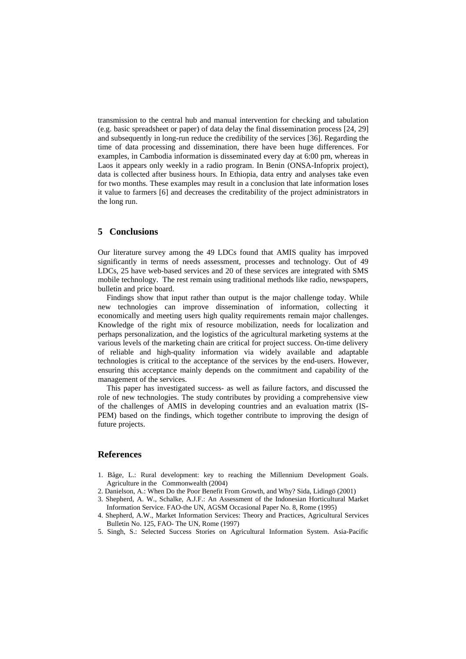transmission to the central hub and manual intervention for checking and tabulation (e.g. basic spreadsheet or paper) of data delay the final dissemination process [24, 29] and subsequently in long-run reduce the credibility of the services [36]. Regarding the time of data processing and dissemination, there have been huge differences. For examples, in Cambodia information is disseminated every day at 6:00 pm, whereas in Laos it appears only weekly in a radio program. In Benin (ONSA-Infoprix project), data is collected after business hours. In Ethiopia, data entry and analyses take even for two months. These examples may result in a conclusion that late information loses it value to farmers [6] and decreases the creditability of the project administrators in the long run.

### **5 Conclusions**

Our literature survey among the 49 LDCs found that AMIS quality has imrpoved significantly in terms of needs assessment, processes and technology. Out of 49 LDCs, 25 have web-based services and 20 of these services are integrated with SMS mobile technology. The rest remain using traditional methods like radio, newspapers, bulletin and price board.

Findings show that input rather than output is the major challenge today. While new technologies can improve dissemination of information, collecting it economically and meeting users high quality requirements remain major challenges. Knowledge of the right mix of resource mobilization, needs for localization and perhaps personalization, and the logistics of the agricultural marketing systems at the various levels of the marketing chain are critical for project success. On-time delivery of reliable and high-quality information via widely available and adaptable technologies is critical to the acceptance of the services by the end-users. However, ensuring this acceptance mainly depends on the commitment and capability of the management of the services.

This paper has investigated success- as well as failure factors, and discussed the role of new technologies. The study contributes by providing a comprehensive view of the challenges of AMIS in developing countries and an evaluation matrix (IS-PEM) based on the findings, which together contribute to improving the design of future projects.

### **References**

- 1. Båge, L.: Rural development: key to reaching the Millennium Development Goals. Agriculture in the Commonwealth (2004)
- 2. Danielson, A.: When Do the Poor Benefit From Growth, and Why? Sida, Lidingö (2001)
- 3. Shepherd, A. W., Schalke, A.J.F.: An Assessment of the Indonesian Horticultural Market Information Service. FAO-the UN, AGSM Occasional Paper No. 8, Rome (1995)
- 4. Shepherd, A.W., Market Information Services: Theory and Practices, Agricultural Services Bulletin No. 125, FAO- The UN, Rome (1997)
- 5. Singh, S.: Selected Success Stories on Agricultural Information System. Asia-Pacific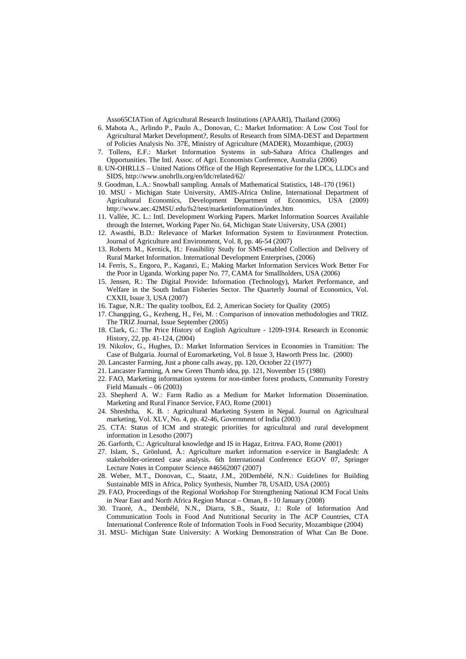Asso65CIATion of Agricultural Research Institutions (APAARI), Thailand (2006)

- 6. Mabota A., Arlindo P., Paulo A., Donovan, C.: Market Information: A Low Cost Tool for Agricultural Market Development?, Results of Research from SIMA-DEST and Department of Policies Analysis No. 37E, Ministry of Agriculture (MADER), Mozambique, (2003)
- 7. Tollens, E.F.: Market Information Systems in sub-Sahara Africa Challenges and Opportunities. The Intl. Assoc. of Agri. Economists Conference, Australia (2006)
- 8. UN-OHRLLS United Nations Office of the High Representative for the LDCs, LLDCs and SIDS, http://www.unohrlls.org/en/ldc/related/62/
- 9. Goodman, L.A.: Snowball sampling. Annals of Mathematical Statistics, 148–170 (1961)
- 10. MSU Michigan State University, AMIS-Africa Online, International Department of Agricultural Economics, Development Department of Economics, USA (2009) http://www.aec.42MSU.edu/fs2/test/marketinformation/index.htm
- 11. Vallée, JC. L.: Intl. Development Working Papers. Market Information Sources Available through the Internet, Working Paper No. 64, Michigan State University, USA (2001)
- 12. Awasthi, B.D.: Relevance of Market Information System to Environment Protection. Journal of Agriculture and Environment, Vol. 8, pp. 46-54 (2007)
- 13. Roberts M., Kernick, H.: Feasibility Study for SMS-enabled Collection and Delivery of Rural Market Information. International Development Enterprises, (2006)
- 14. Ferris, S., Engoru, P., Kaganzi, E.; Making Market Information Services Work Better For the Poor in Uganda. Working paper No. 77, CAMA for Smallholders, USA (2006)
- 15. Jensen, R.: The Digital Provide: Information (Technology), Market Performance, and Welfare in the South Indian Fisheries Sector. The Quarterly Journal of Economics, Vol. CXXII, Issue 3, USA (2007)
- 16. Tague, N.R.: The quality toolbox, Ed. 2, American Society for Quality (2005)
- 17. Changqing, G., Kezheng, H., Fei, M. : Comparison of innovation methodologies and TRIZ. The TRIZ Journal, Issue September (2005)
- 18. Clark, G.: The Price History of English Agriculture 1209-1914. Research in Economic History, 22, pp. 41-124, (2004)
- 19. Nikolov, G., Hughes, D.: Market Information Services in Economies in Transition: The Case of Bulgaria. Journal of Euromarketing, Vol. 8 Issue 3, Haworth Press Inc. (2000)
- 20. Lancaster Farming, Just a phone calls away, pp. 120, October 22 (1977)
- 21. Lancaster Farming, A new Green Thumb idea, pp. 121, November 15 (1980)
- 22. FAO, Marketing information systems for non-timber forest products, Community Forestry Field Manuals – 06 (2003)
- 23. Shepherd A. W.: Farm Radio as a Medium for Market Information Dissemination. Marketing and Rural Finance Service, FAO, Rome (2001)
- 24. Shreshtha, K. B. : Agricultural Marketing System in Nepal. Journal on Agricultural marketing, Vol. XLV, No. 4, pp. 42-46, Government of India (2003)
- 25. CTA: Status of ICM and strategic priorities for agricultural and rural development information in Lesotho (2007)
- 26. Garforth, C.: Agricultural knowledge and IS in Hagaz, Eritrea. FAO, Rome (2001)
- 27. Islam, S., Grönlund, Å.: Agriculture market information e-service in Bangladesh: A stakeholder-oriented case analysis. 6th International Conference EGOV 07, Springer Lecture Notes in Computer Science #46562007 (2007)
- 28. Weber, M.T., Donovan, C., Staatz, J.M., 20Dembélé, N.N.: Guidelines for Building Sustainable MIS in Africa, Policy Synthesis, Number 78, USAID, USA (2005)
- 29. FAO, Proceedings of the Regional Workshop For Strengthening National ICM Focal Units in Near East and North Africa Region Muscat – Oman, 8 - 10 January (2008)
- 30. Traoré, A., Dembélé, N.N., Diarra, S.B., Staatz, J.: Role of Information And Communication Tools in Food And Nutritional Security in The ACP Countries, CTA International Conference Role of Information Tools in Food Security, Mozambique (2004)
- 31. MSU- Michigan State University: A Working Demonstration of What Can Be Done.